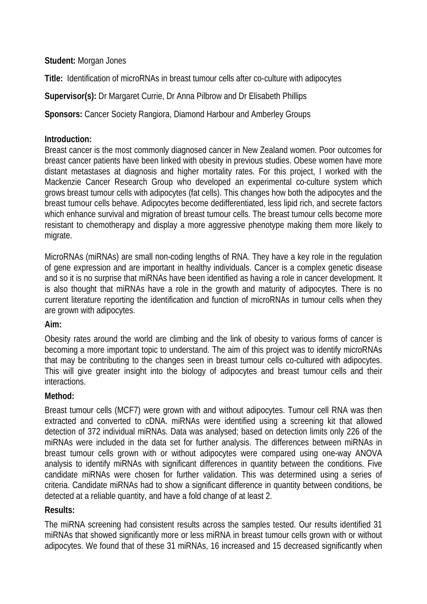**Student:** Morgan Jones

**Title:** Identification of microRNAs in breast tumour cells after co-culture with adipocytes

**Supervisor(s):** Dr Margaret Currie, Dr Anna Pilbrow and Dr Elisabeth Phillips

**Sponsors:** Cancer Society Rangiora, Diamond Harbour and Amberley Groups

## **Introduction:**

Breast cancer is the most commonly diagnosed cancer in New Zealand women. Poor outcomes for breast cancer patients have been linked with obesity in previous studies. Obese women have more distant metastases at diagnosis and higher mortality rates. For this project, I worked with the Mackenzie Cancer Research Group who developed an experimental co-culture system which grows breast tumour cells with adipocytes (fat cells). This changes how both the adipocytes and the breast tumour cells behave. Adipocytes become dedifferentiated, less lipid rich, and secrete factors which enhance survival and migration of breast tumour cells. The breast tumour cells become more resistant to chemotherapy and display a more aggressive phenotype making them more likely to migrate.

MicroRNAs (miRNAs) are small non-coding lengths of RNA. They have a key role in the regulation of gene expression and are important in healthy individuals. Cancer is a complex genetic disease and so it is no surprise that miRNAs have been identified as having a role in cancer development. It is also thought that miRNAs have a role in the growth and maturity of adipocytes. There is no current literature reporting the identification and function of microRNAs in tumour cells when they are grown with adipocytes.

# **Aim:**

Obesity rates around the world are climbing and the link of obesity to various forms of cancer is becoming a more important topic to understand. The aim of this project was to identify microRNAs that may be contributing to the changes seen in breast tumour cells co-cultured with adipocytes. This will give greater insight into the biology of adipocytes and breast tumour cells and their interactions.

### **Method:**

Breast tumour cells (MCF7) were grown with and without adipocytes. Tumour cell RNA was then extracted and converted to cDNA. miRNAs were identified using a screening kit that allowed detection of 372 individual miRNAs. Data was analysed; based on detection limits only 226 of the miRNAs were included in the data set for further analysis. The differences between miRNAs in breast tumour cells grown with or without adipocytes were compared using one-way ANOVA analysis to identify miRNAs with significant differences in quantity between the conditions. Five candidate miRNAs were chosen for further validation. This was determined using a series of criteria. Candidate miRNAs had to show a significant difference in quantity between conditions, be detected at a reliable quantity, and have a fold change of at least 2.

### **Results:**

The miRNA screening had consistent results across the samples tested. Our results identified 31 miRNAs that showed significantly more or less miRNA in breast tumour cells grown with or without adipocytes. We found that of these 31 miRNAs, 16 increased and 15 decreased significantly when